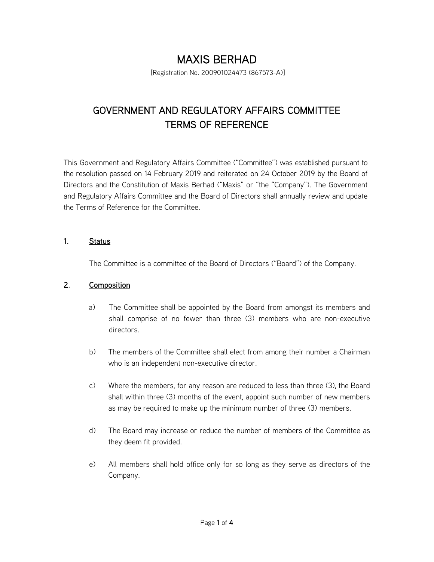# MAXIS BERHAD

[Registration No. 200901024473 (867573-A)]

## GOVERNMENT AND REGULATORY AFFAIRS COMMITTEE TERMS OF REFERENCE

This Government and Regulatory Affairs Committee ("Committee") was established pursuant to the resolution passed on 14 February 2019 and reiterated on 24 October 2019 by the Board of Directors and the Constitution of Maxis Berhad ("Maxis" or "the "Company"). The Government and Regulatory Affairs Committee and the Board of Directors shall annually review and update the Terms of Reference for the Committee.

#### 1. Status

The Committee is a committee of the Board of Directors ("Board") of the Company.

## 2. Composition

- a) The Committee shall be appointed by the Board from amongst its members and shall comprise of no fewer than three (3) members who are non-executive directors.
- b) The members of the Committee shall elect from among their number a Chairman who is an independent non-executive director.
- c) Where the members, for any reason are reduced to less than three (3), the Board shall within three (3) months of the event, appoint such number of new members as may be required to make up the minimum number of three (3) members.
- d) The Board may increase or reduce the number of members of the Committee as they deem fit provided.
- e) All members shall hold office only for so long as they serve as directors of the Company.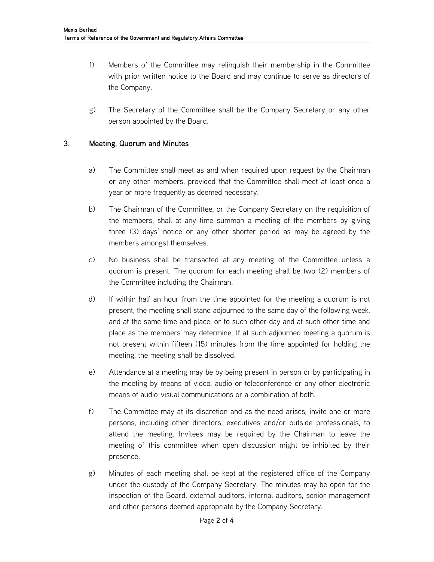- f) Members of the Committee may relinquish their membership in the Committee with prior written notice to the Board and may continue to serve as directors of the Company.
- g) The Secretary of the Committee shall be the Company Secretary or any other person appointed by the Board.

#### 3. Meeting, Quorum and Minutes

- a) The Committee shall meet as and when required upon request by the Chairman or any other members, provided that the Committee shall meet at least once a year or more frequently as deemed necessary.
- b) The Chairman of the Committee, or the Company Secretary on the requisition of the members, shall at any time summon a meeting of the members by giving three (3) days' notice or any other shorter period as may be agreed by the members amongst themselves.
- c) No business shall be transacted at any meeting of the Committee unless a quorum is present. The quorum for each meeting shall be two (2) members of the Committee including the Chairman.
- d) If within half an hour from the time appointed for the meeting a quorum is not present, the meeting shall stand adjourned to the same day of the following week, and at the same time and place, or to such other day and at such other time and place as the members may determine. If at such adjourned meeting a quorum is not present within fifteen (15) minutes from the time appointed for holding the meeting, the meeting shall be dissolved.
- e) Attendance at a meeting may be by being present in person or by participating in the meeting by means of video, audio or teleconference or any other electronic means of audio-visual communications or a combination of both.
- f) The Committee may at its discretion and as the need arises, invite one or more persons, including other directors, executives and/or outside professionals, to attend the meeting. Invitees may be required by the Chairman to leave the meeting of this committee when open discussion might be inhibited by their presence.
- g) Minutes of each meeting shall be kept at the registered office of the Company under the custody of the Company Secretary. The minutes may be open for the inspection of the Board, external auditors, internal auditors, senior management and other persons deemed appropriate by the Company Secretary.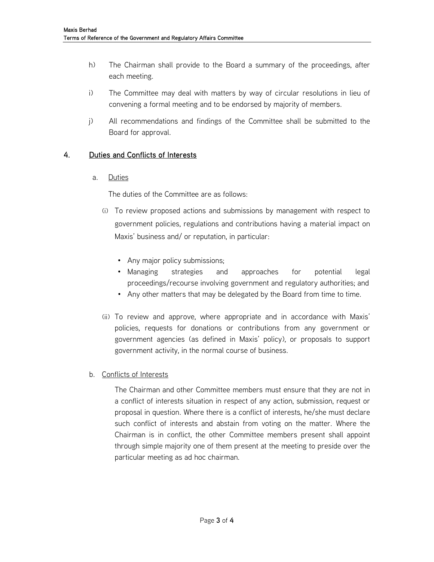- h) The Chairman shall provide to the Board a summary of the proceedings, after each meeting.
- i) The Committee may deal with matters by way of circular resolutions in lieu of convening a formal meeting and to be endorsed by majority of members.
- j) All recommendations and findings of the Committee shall be submitted to the Board for approval.

### 4. Duties and Conflicts of Interests

a. Duties

The duties of the Committee are as follows:

- (i) To review proposed actions and submissions by management with respect to government policies, regulations and contributions having a material impact on Maxis' business and/ or reputation, in particular:
	- Any major policy submissions;
	- Managing strategies and approaches for potential legal proceedings/recourse involving government and regulatory authorities; and
	- Any other matters that may be delegated by the Board from time to time.
- (ii) To review and approve, where appropriate and in accordance with Maxis' policies, requests for donations or contributions from any government or government agencies (as defined in Maxis' policy), or proposals to support government activity, in the normal course of business.
- b. Conflicts of Interests

The Chairman and other Committee members must ensure that they are not in a conflict of interests situation in respect of any action, submission, request or proposal in question. Where there is a conflict of interests, he/she must declare such conflict of interests and abstain from voting on the matter. Where the Chairman is in conflict, the other Committee members present shall appoint through simple majority one of them present at the meeting to preside over the particular meeting as ad hoc chairman.